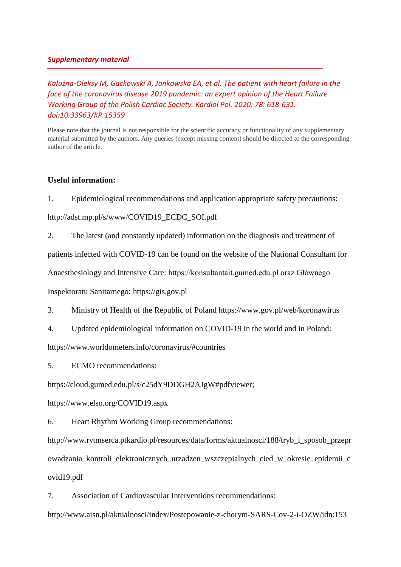## *Supplementary material*

*Kałużna*‑*Oleksy M, Gackowski A, Jankowska EA, et al. The patient with heart failure in the face of the coronavirus disease 2019 pandemic: an expert opinion of the Heart Failure Working Group of the Polish Cardiac Society. Kardiol Pol. 2020; 78: 618-631. doi:10.33963/KP.15359*

Please note that the journal is not responsible for the scientific accuracy or functionality of any supplementary material submitted by the authors. Any queries (except missing content) should be directed to the corresponding author of the article.

## **Useful information:**

1. Epidemiological recommendations and application appropriate safety precautions:

http://adst.mp.pl/s/www/COVID19\_ECDC\_SOI.pdf

2. The latest (and constantly updated) information on the diagnosis and treatment of

patients infected with COVID-19 can be found on the website of the National Consultant for

Anaesthesiology and Intensive Care: https://konsultantait.gumed.edu.pl oraz Głównego

Inspektoratu Sanitarnego: https://gis.gov.pl

3. Ministry of Health of the Republic of Poland https://www.gov.pl/web/koronawirus

4. Updated epidemiological information on COVID-19 in the world and in Poland:

https://www.worldometers.info/coronavirus/#countries

5. ECMO recommendations:

https://cloud.gumed.edu.pl/s/c25dY9DDGH2AJgW#pdfviewer;

https://www.elso.org/COVID19.aspx

6. Heart Rhythm Working Group recommendations:

http://www.rytmserca.ptkardio.pl/resources/data/forms/aktualnosci/188/tryb\_i\_sposob\_przepr owadzania\_kontroli\_elektronicznych\_urzadzen\_wszczepialnych\_cied\_w\_okresie\_epidemii\_c ovid19.pdf

7. Association of Cardiovascular Interventions recommendations:

http://www.aisn.pl/aktualnosci/index/Postepowanie-z-chorym-SARS-Cov-2-i-OZW/idn:153